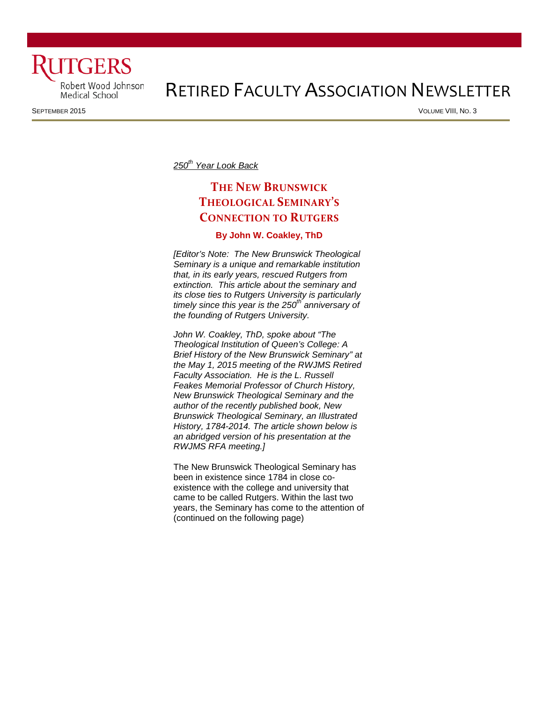

# RETIRED FACULTY ASSOCIATION NEWSLETTER

SEPTEMBER 2015 VOLUME VIII, NO. 3

*250th Year Look Back* 

# **THE NEW BRUNSWICK THEOLOGICAL SEMINARY'S CONNECTION TO RUTGERS**

#### **By John W. Coakley, ThD**

*[Editor's Note: The New Brunswick Theological Seminary is a unique and remarkable institution that, in its early years, rescued Rutgers from extinction. This article about the seminary and its close ties to Rutgers University is particularly timely since this year is the 250th anniversary of the founding of Rutgers University.* 

*John W. Coakley, ThD, spoke about "The Theological Institution of Queen's College: A Brief History of the New Brunswick Seminary" at the May 1, 2015 meeting of the RWJMS Retired Faculty Association. He is the L. Russell Feakes Memorial Professor of Church History, New Brunswick Theological Seminary and the author of the recently published book, New Brunswick Theological Seminary, an Illustrated History, 1784-2014. The article shown below is an abridged version of his presentation at the RWJMS RFA meeting.]*

The New Brunswick Theological Seminary has been in existence since 1784 in close coexistence with the college and university that came to be called Rutgers. Within the last two years, the Seminary has come to the attention of (continued on the following page)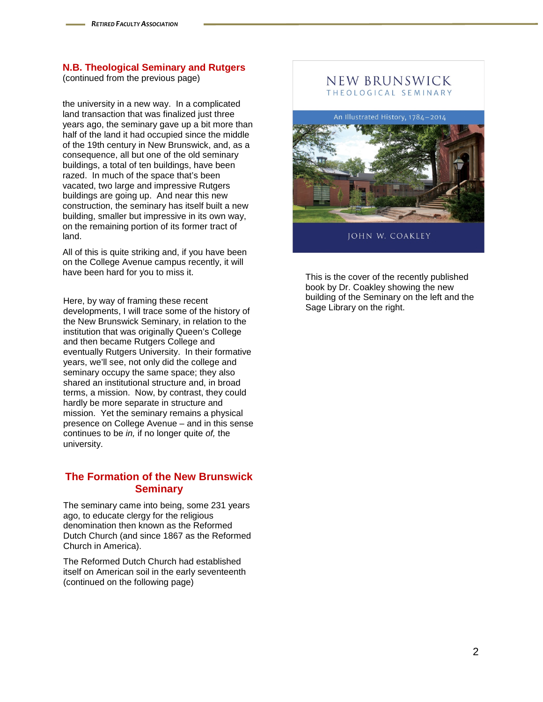(continued from the previous page)

the university in a new way. In a complicated land transaction that was finalized just three years ago, the seminary gave up a bit more than half of the land it had occupied since the middle of the 19th century in New Brunswick, and, as a consequence, all but one of the old seminary buildings, a total of ten buildings, have been razed. In much of the space that's been vacated, two large and impressive Rutgers buildings are going up. And near this new construction, the seminary has itself built a new building, smaller but impressive in its own way, on the remaining portion of its former tract of land.

All of this is quite striking and, if you have been on the College Avenue campus recently, it will have been hard for you to miss it.

Here, by way of framing these recent developments, I will trace some of the history of the New Brunswick Seminary, in relation to the in[stitution that was originally Queen's College](http://rwjms.rutgers.edu/faculty/index.html)  and then became Rutgers College and eventually Rutgers University. In their formative years, we'll see, not only did the college and seminary occupy the same space; they also shared an institutional structure and, in broad terms, a mission. Now, by contrast, they could hardly be more separate in structure and mission. Yet the seminary remains a physical presence on College Avenue – and in this sense continues to be *in,* if no longer quite *of,* the university.

#### **The Formation of the New Brunswick Seminary**

The seminary came into being, some 231 years ago, to educate clergy for the religious denomination then known as the Reformed Dutch Church (and since 1867 as the Reformed Church in America).

The Reformed Dutch Church had established itself on American soil in the early seventeenth (continued on the following page)

#### NEW BRUNSWICK THEOLOGICAL SEMINARY

An Illustrated History, 1784-2014



**JOHN W. COAKLEY** 

[This is the cover of the recently published](http://www.google.com/url?sa=i&rct=j&q=&esrc=s&source=images&cd=&cad=rja&uact=8&ved=0CAcQjRw&url=http://www.amazon.com/New-Brunswick-Theological-Seminary-Illustrated/dp/0802872964&ei=n7AAVdbxEKzfsASjhIDYBQ&bvm=bv.87920726,d.cWc&psig=AFQjCNFkCkBpdUEs7rEPdfJSm-H8G-HpCg&ust=1426194839158369)  book by Dr. Coakley showing the new building of the Seminary on the left and the Sage Library on the right.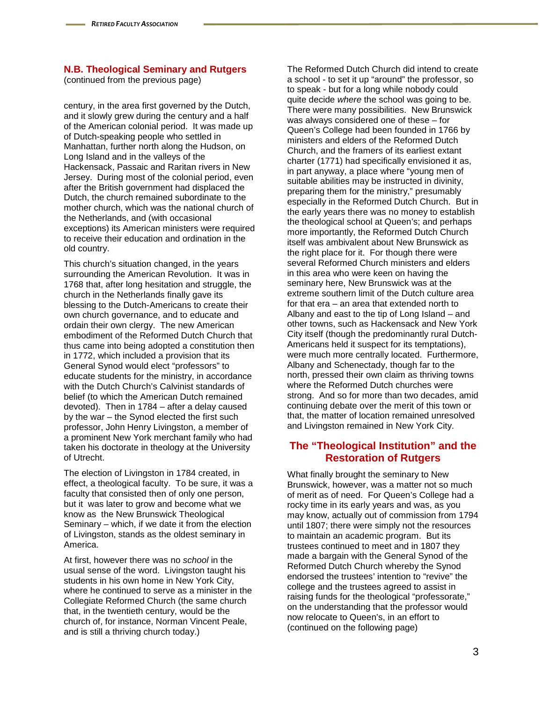(continued from the previous page)

century, in the area first governed by the Dutch, and it slowly grew during the century and a half of the American colonial period. It was made up of Dutch-speaking people who settled in Manhattan, further north along the Hudson, on Long Island and in the valleys of the Hackensack, Passaic and Raritan rivers in New Jersey. During most of the colonial period, even after the British government had displaced the Dutch, the church remained subordinate to the mother church, which was the national church of the Netherlands, and (with occasional exceptions) its American ministers were required to receive their education and ordination in the old country.

This church's situation changed, in the years surrounding the American Revolution. It was in 1768 that, after long hesitation and struggle, the church in the Netherlands finally gave its blessing to the Dutch-Americans to create their own church governance, and to educate and ordain their own clergy. The new American embodiment of the Reformed Dutch Church that thus came into being adopted a constitution then in 1772, which included a provision that its General Synod would elect "professors" to educate students for the ministry, in accordance with the Dutch Church's Calvinist standards of belief (to which the American Dutch remained devoted). Then in 1784 – after a delay caused by the war – the Synod elected the first such professor, John Henry Livingston, a member of a prominent New York merchant family who had taken his doctorate in theology at the University of Utrecht.

The election of Livingston in 1784 created, in effect, a theological faculty. To be sure, it was a faculty that consisted then of only one person, but it was later to grow and become what we know as the New Brunswick Theological Seminary – which, if we date it from the election of Livingston, stands as the oldest seminary in America.

At first, however there was no *school* in the usual sense of the word. Livingston taught his students in his own home in New York City, where he continued to serve as a minister in the Collegiate Reformed Church (the same church that, in the twentieth century, would be the church of, for instance, Norman Vincent Peale, and is still a thriving church today.)

The Reformed Dutch Church did intend to create a school - to set it up "around" the professor, so to speak - but for a long while nobody could quite decide *where* the school was going to be. There were many possibilities. New Brunswick was always considered one of these – for Queen's College had been founded in 1766 by ministers and elders of the Reformed Dutch Church, and the framers of its earliest extant charter (1771) had specifically envisioned it as, in part anyway, a place where "young men of suitable abilities may be instructed in divinity, preparing them for the ministry," presumably especially in the Reformed Dutch Church. But in the early years there was no money to establish the theological school at Queen's; and perhaps more importantly, the Reformed Dutch Church itself was ambivalent about New Brunswick as the right place for it. For though there were several Reformed Church ministers and elders in this area who were keen on having the seminary here, New Brunswick was at the extreme southern limit of the Dutch culture area for that era – an area that extended north to Albany and east to the tip of Long Island – and other towns, such as Hackensack and New York City itself (though the predominantly rural Dutch-Americans held it suspect for its temptations), were much more centrally located. Furthermore, Albany and Schenectady, though far to the north, pressed their own claim as thriving towns where the Reformed Dutch churches were strong. And so for more than two decades, amid continuing debate over the merit of this town or that, the matter of location remained unresolved and Livingston remained in New York City.

#### **The "Theological Institution" and the Restoration of Rutgers**

What finally brought the seminary to New Brunswick, however, was a matter not so much of merit as of need. For Queen's College had a rocky time in its early years and was, as you may know, actually out of commission from 1794 until 1807; there were simply not the resources to maintain an academic program. But its trustees continued to meet and in 1807 they made a bargain with the General Synod of the Reformed Dutch Church whereby the Synod endorsed the trustees' intention to "revive" the college and the trustees agreed to assist in raising funds for the theological "professorate," on the understanding that the professor would now relocate to Queen's, in an effort to (continued on the following page)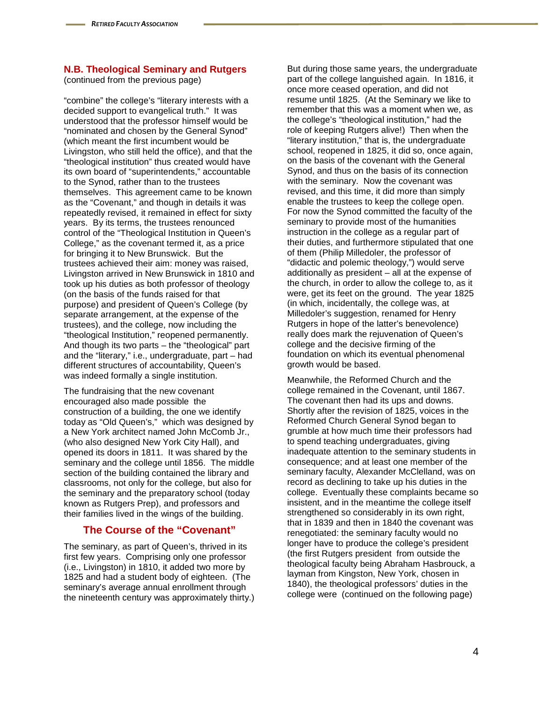(continued from the previous page)

"combine" the college's "literary interests with a decided support to evangelical truth." It was understood that the professor himself would be "nominated and chosen by the General Synod" (which meant the first incumbent would be Livingston, who still held the office), and that the "theological institution" thus created would have its own board of "superintendents," accountable to the Synod, rather than to the trustees themselves. This agreement came to be known as the "Covenant," and though in details it was repeatedly revised, it remained in effect for sixty years. By its terms, the trustees renounced control of the "Theological Institution in Queen's College," as the covenant termed it, as a price for bringing it to New Brunswick. But the trustees achieved their aim: money was raised, Livingston arrived in New Brunswick in 1810 and took up his duties as both professor of theology (on the basis of the funds raised for that purpose) and president of Queen's College (by separate arrangement, at the expense of the trustees), and the college, now including the "theological Institution," reopened permanently. And though its two parts – the "theological" part and the "literary," i.e., undergraduate, part – had different structures of accountability, Queen's was indeed formally a single institution.

The fundraising that the new covenant encouraged also made possible the construction of a building, the one we identify today as "Old Queen's," which was designed by a New York architect named John McComb Jr., (who also designed New York City Hall), and opened its doors in 1811. It was shared by the seminary and the college until 1856. The middle section of the building contained the library and classrooms, not only for the college, but also for the seminary and the preparatory school (today known as Rutgers Prep), and professors and their families lived in the wings of the building.

## **The Course of the "Covenant"**

The seminary, as part of Queen's, thrived in its first few years. Comprising only one professor (i.e., Livingston) in 1810, it added two more by 1825 and had a student body of eighteen. (The seminary's average annual enrollment through the nineteenth century was approximately thirty.)

But during those same years, the undergraduate part of the college languished again. In 1816, it once more ceased operation, and did not resume until 1825. (At the Seminary we like to remember that this was a moment when we, as the college's "theological institution," had the role of keeping Rutgers alive!) Then when the "literary institution," that is, the undergraduate school, reopened in 1825, it did so, once again, on the basis of the covenant with the General Synod, and thus on the basis of its connection with the seminary. Now the covenant was revised, and this time, it did more than simply enable the trustees to keep the college open. For now the Synod committed the faculty of the seminary to provide most of the humanities instruction in the college as a regular part of their duties, and furthermore stipulated that one of them (Philip Milledoler, the professor of "didactic and polemic theology,") would serve additionally as president – all at the expense of the church, in order to allow the college to, as it were, get its feet on the ground. The year 1825 (in which, incidentally, the college was, at Milledoler's suggestion, renamed for Henry Rutgers in hope of the latter's benevolence) really does mark the rejuvenation of Queen's college and the decisive firming of the foundation on which its eventual phenomenal growth would be based.

Meanwhile, the Reformed Church and the college remained in the Covenant, until 1867. The covenant then had its ups and downs. Shortly after the revision of 1825, voices in the Reformed Church General Synod began to grumble at how much time their professors had to spend teaching undergraduates, giving inadequate attention to the seminary students in consequence; and at least one member of the seminary faculty, Alexander McClelland, was on record as declining to take up his duties in the college. Eventually these complaints became so insistent, and in the meantime the college itself strengthened so considerably in its own right, that in 1839 and then in 1840 the covenant was renegotiated: the seminary faculty would no longer have to produce the college's president (the first Rutgers president from outside the theological faculty being Abraham Hasbrouck, a layman from Kingston, New York, chosen in 1840), the theological professors' duties in the college were (continued on the following page)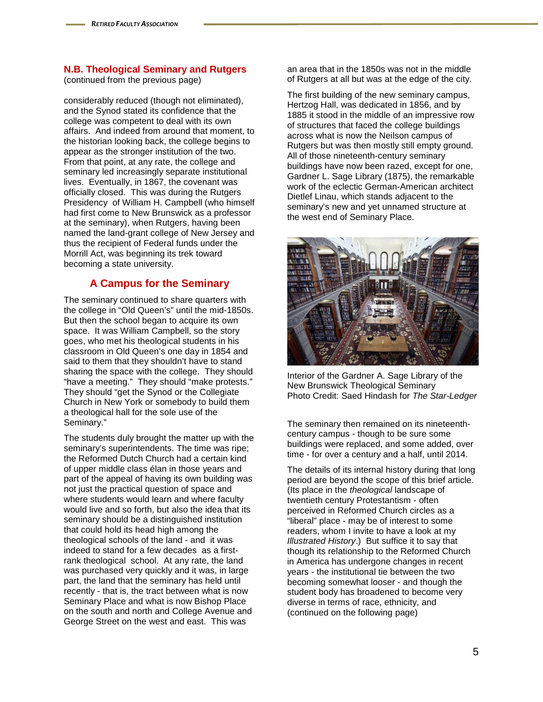(continued from the previous page)

considerably reduced (though not eliminated), and the Synod stated its confidence that the college was competent to deal with its own affairs. And indeed from around that moment, to the historian looking back, the college begins to appear as the stronger institution of the two. From that point, at any rate, the college and seminary led increasingly separate institutional lives. Eventually, in 1867, the covenant was officially closed. This was during the Rutgers Presidency of William H. Campbell (who himself had first come to New Brunswick as a professor at the seminary), when Rutgers, having been named the land-grant college of New Jersey and thus the recipient of Federal funds under the Morrill Act, was beginning its trek toward becoming a state university.

## **A Campus for the Seminary**

The seminary continued to share quarters with the college in "Old Queen's" until the mid-1850s. But then the school began to acquire its own space. It was William Campbell, so the story goes, who met his theological students in his classroom in Old Queen's one day in 1854 and said to them that they shouldn't have to stand sharing the space with the college. They should "have a meeting." They should "make protests." They should "get the Synod or the Collegiate Church in New York or somebody to build them a theological hall for the sole use of the Seminary."

The students duly brought the matter up with the seminary's superintendents. The time was ripe; the Reformed Dutch Church had a certain kind of upper middle class élan in those years and part of the appeal of having its own building was not just the practical question of space and where students would learn and where faculty would live and so forth, but also the idea that its seminary should be a distinguished institution that could hold its head high among the theological schools of the land - and it was indeed to stand for a few decades as a firstrank theological school. At any rate, the land was purchased very quickly and it was, in large part, the land that the seminary has held until recently - that is, the tract between what is now Seminary Place and what is now Bishop Place on the south and north and College Avenue and George Street on the west and east. This was

an area that in the 1850s was not in the middle of Rutgers at all but was at the edge of the city.

The first building of the new seminary campus, Hertzog Hall, was dedicated in 1856, and by 1885 it stood in the middle of an impressive row of structures that faced the college buildings across what is now the Neilson campus of Rutgers but was then mostly still empty ground. All of those nineteenth-century seminary buildings have now been razed, except for one, Gardner L. Sage Library (1875), the remarkable work of the eclectic German-American architect Dietlef Linau, which stands adjacent to the seminary's new and yet unnamed structure at the west end of Seminary Place.



Interior of the Gardner A. Sage Library of the New Brunswick Theological Seminary Photo Credit: Saed Hindash for *The Star-Ledger*

The seminary then remained on its nineteenthcentury campus - though to be sure some buildings were replaced, and some added, over time - for over a century and a half, until 2014.

The details of its internal history during that long period are beyond the scope of this brief article. (Its place in the *theological* landscape of twentieth century Protestantism - often perceived in Reformed Church circles as a "liberal" place - may be of interest to some readers, whom I invite to have a look at my *Illustrated History*.) But suffice it to say that though its relationship to the Reformed Church in America has undergone changes in recent years - the institutional tie between the two becoming somewhat looser - and though the student body has broadened to become very diverse in terms of race, ethnicity, and (continued on the following page)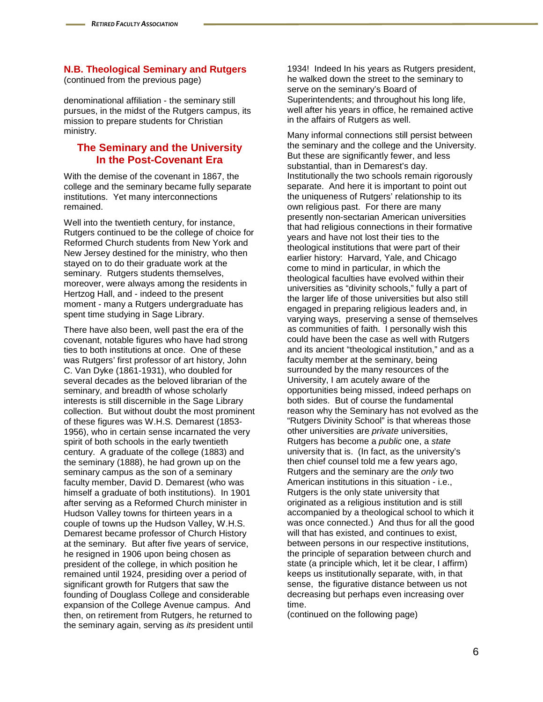(continued from the previous page)

denominational affiliation - the seminary still pursues, in the midst of the Rutgers campus, its mission to prepare students for Christian ministry.

#### **The Seminary and the University In the Post-Covenant Era**

With the demise of the covenant in 1867, the college and the seminary became fully separate institutions. Yet many interconnections remained.

Well into the twentieth century, for instance, Rutgers continued to be the college of choice for Reformed Church students from New York and New Jersey destined for the ministry, who then stayed on to do their graduate work at the seminary. Rutgers students themselves, moreover, were always among the residents in Hertzog Hall, and - indeed to the present moment - many a Rutgers undergraduate has spent time studying in Sage Library.

There have also been, well past the era of the covenant, notable figures who have had strong ties to both institutions at once. One of these was Rutgers' first professor of art history, John C. Van Dyke (1861-1931), who doubled for several decades as the beloved librarian of the seminary, and breadth of whose scholarly interests is still discernible in the Sage Library collection. But without doubt the most prominent of these figures was W.H.S. Demarest (1853- 1956), who in certain sense incarnated the very spirit of both schools in the early twentieth century. A graduate of the college (1883) and the seminary (1888), he had grown up on the seminary campus as the son of a seminary faculty member, David D. Demarest (who was himself a graduate of both institutions). In 1901 after serving as a Reformed Church minister in Hudson Valley towns for thirteen years in a couple of towns up the Hudson Valley, W.H.S. Demarest became professor of Church History at the seminary. But after five years of service, he resigned in 1906 upon being chosen as president of the college, in which position he remained until 1924, presiding over a period of significant growth for Rutgers that saw the founding of Douglass College and considerable expansion of the College Avenue campus. And then, on retirement from Rutgers, he returned to the seminary again, serving as *its* president until

1934! Indeed In his years as Rutgers president, he walked down the street to the seminary to serve on the seminary's Board of Superintendents; and throughout his long life, well after his years in office, he remained active in the affairs of Rutgers as well.

Many informal connections still persist between the seminary and the college and the University. But these are significantly fewer, and less substantial, than in Demarest's day. Institutionally the two schools remain rigorously separate. And here it is important to point out the uniqueness of Rutgers' relationship to its own religious past. For there are many presently non-sectarian American universities that had religious connections in their formative years and have not lost their ties to the theological institutions that were part of their earlier history: Harvard, Yale, and Chicago come to mind in particular, in which the theological faculties have evolved within their universities as "divinity schools," fully a part of the larger life of those universities but also still engaged in preparing religious leaders and, in varying ways, preserving a sense of themselves as communities of faith. I personally wish this could have been the case as well with Rutgers and its ancient "theological institution," and as a faculty member at the seminary, being surrounded by the many resources of the University, I am acutely aware of the opportunities being missed, indeed perhaps on both sides. But of course the fundamental reason why the Seminary has not evolved as the "Rutgers Divinity School" is that whereas those other universities are *private* universities, Rutgers has become a *public* one, a *state* university that is. (In fact, as the university's then chief counsel told me a few years ago, Rutgers and the seminary are the *only* two American institutions in this situation - i.e., Rutgers is the only state university that originated as a religious institution and is still accompanied by a theological school to which it was once connected.) And thus for all the good will that has existed, and continues to exist, between persons in our respective institutions, the principle of separation between church and state (a principle which, let it be clear, I affirm) keeps us institutionally separate, with, in that sense, the figurative distance between us not decreasing but perhaps even increasing over time.

(continued on the following page)